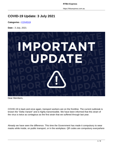**RTBU Express**

https://rtbuexpress.com.au

# **COVID-19 Update: 3 July 2021**

**Categories :** [COVID19](https://rtbuexpress.com.au/category/covid19/)

**Date :** 3 July, 2021



Dear Members,

COVID-19 is back and once again, transport workers are on the frontline. The current outbreak is known the "Delta Variant" and is highly transmissible. We have been informed that this strain of the virus is twice as contagious as the first strain that we suffered through last year.

Already we have seen the difference. This time the Government has made it compulsory to wear masks while inside, on public transport, or in the workplace. QR codes are compulsory everywhere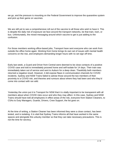we go, and the pressure is mounting on the Federal Government to improve the quarantine system and pick up their game on vaccines.

We are still yet to see a comprehensive roll out of the vaccine to all those who wish to have it. This is despite the daily risk of exposure we face around the transport networks, be that train, tram, or bus. Unfortunately, the mixed messaging around which vaccine to get is just adding to the confusion.

For those members working office-based jobs, Transport have sent everyone who can work from outside the office home again. Working from home brings its own set of issues with mental health concerns on the rise, and employers demanding longer hours with no set sign off time.

Early last week, a Guard and Driver from Central were deemed to be close contacts of a positive COVID case and told to immediately proceed home and self-isolate for 14 days. Their train was immediately taken out of service and sent to Auburn for a deep clean. Thankfully both members returned a negative result. However, it did expose flaws in communication channels for COVID incidents. Sydney and NSW Trains failed to advise those around the two members of their proximity to a COVID risk, and theories and rumours about where they had been and who they'd come into contact with ran wild.

Yesterday the union put it to Transport for NSW that it is vitally important to be transparent with all members about when COVID risks occur and who they may affect. In this case, Sydney and NSW Trains should have told all employees in effect areas of the risk, everyone from Station Cleaners, to CSAs to Duty Managers, Guards, Drivers, Crew Support, the list goes on.

At the time of writing, a Station Cleaner has been informed they were a close contact, has been tested, and is isolating. It is vital that Sydney Trains informs all that have worked in the same spaces and alongside this unlucky member so that they can take necessary precautions. This is not the time for secrecy.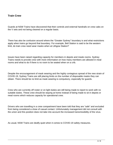### **Train Crew**

Guards at NSW Trains have discovered that their controls and external handrails on crew cabs on the V sets and not being cleaned on a regular basis.

There has also be confusion around where the "Greater Sydney" boundary is and what restrictions apply when trains go beyond that boundary. For example, Bell Station is said to be the western limit, do train crew need wear masks when at Lithgow Station?

Issues have been raised regarding capacity for members in depots and meals rooms. Sydney Trains needs to provide crew with more information on how many members are allowed in meal rooms and what to do if there is no room to be seated when on a crib.

Despite the encouragement of mask wearing and the highly contagious spread of the new strain of COVID-19, Sydney Trains are still placing limits on the number of disposable masks they can obtain. There should be no limit as mask wearing is compulsory, especially for guards.

Crew who are currently off roster or on light duties are still being made to report to work with no suitable duties. These crew should be staying at home instead of being made to sit in depots or meal rooms which reduces capacity for operational crew.

Drivers who are travelling in a crew compartment have been told that they are "safe" and excluded from being considered a close of casual contact. Unfortunately management did not consult with the union and this position does not take into account the increased transmissibility of the virus.

As usual, NSW Trains are deafly quiet when it comes to COVID-19 safety measures.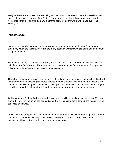Freight drivers at Pacific National are being told that, in accordance with the Public Health Order in force, if they travel in and out of the Sydney Area, they are to stay at home until they return the work. This concern is shared by many other train crew members who travel in and out of the Sydney area.

#### **Infrastructure**

Infrastructure members are calling for vaccinations to be opened up to all ages. Although not everybody wants the vaccine, there are too many essential workers who are being denied because of age restrictions.

Members at Sydney Trains are still working in the CBD area, unvaccinated, despite the increased risk of the new Delta Variant. There ought to be an attempt by the Government and Transport for NSW to have these workers fast tracked for vaccination.

There have been various issues across both Sydney Trains and the private sector with middle level managers enforcing existing procedures despite the new situation making them impracticable and unsafe. Thankfully, delegates and HSRs have stepped in and rectified most of these issues. If you are still encountering unhelpful posturing by management, report it to your local delegate.

At this stage, the Sydney Trains apprentice rotations are still set to take place on 12 July 2021 as planned. However, the union has been advised that if restrictions are extended, the rotation will be cancelled or delayed.

Earlier this week, major works delegates asked management to allow members to go home if they completed scheduled work early to avoid overcrowding of common spaces. To this time, management have not acceded to this common sense move.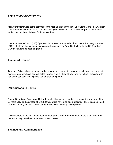## **Signallers/Area Controllers**

Area Controllers were set to commence their repatriation to the Rail Operations Centre (ROC) after over a year away due to the first outbreak last year. However, due to the emergence of the Delta Varian this has been delayed for indefinite time.

Line Information Control (LIC) Operators have been repatriated to the Disaster Recovery Centres (DRC) which are the old complexes currently occupied by Area Controllers. In the DRCs, a 24/7 COVID cleaner has been engaged.

#### **Transport Officers**

Transport Officers have been advised to stay at their home stations and check opal cards in a safe manner. Members have been directed to wear masks whilst at work and have been provided with additional sanitiser and wipes to use on their equipment.

#### **Rail Operations Centre**

On the Operations Floor some Network Incident Managers have been relocated to work out of the Belmore DRC and as stated above, LIC Operators have also been relocated. There is a dedicated COVID Cleaner, sanitiser, and wearing masks whilst working is compulsory.

Office workers in the ROC have been encouraged to work from home and in the event they are in the office, they have been instructed to wear masks.

#### **Salaried and Administrative**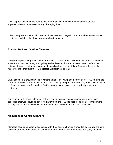Crew Support Officers have been told to wear masks in the office and continue to do their important job supporting crew through this trying time.

Other Salary and Administration workers have been encouraged to work from home unless work requirements dictate they have to physically attend work.

## **Station Staff and Station Cleaners**

Delegates representing Station Staff and Station Cleaners have raised serious concerns with their ways of working, particularly the Sydney Trains direction that workers continue to perform their duties in the open customer environment, specifically at HUBs. Station Cleaner delegates also raised the lack of sufficient PPE to protect against this outbreak.

Early last week, a provisional improvement notice (PIN) was placed on the use of HUBs during the outbreak of the Delta Variant. Delegates picked this up and pushed hard for Sydney Trains to allow HUBs to be closed and for Stations Staff to work within a closed room physically away from customers.

On Thursday afternoon, delegates met with senior Sydney Trains management where it was conceded that work could be performed away from the HUBs to keep people safe. Management also agreed to inform any employee that encounters the virus as soon as practicable.

#### **Maintenance Centre Cleaners**

Members have once again raised issues with the cleaning chemicals provided by Sydney Trains to ensure that trains are cleaned for use by members and the public. As raised last year, the use of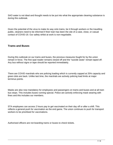SAO water is not ideal and thought needs to be put into what the appropriate cleaning substance is during this outbreak.

Given the potential of the virus to make its way onto trains, be it through workers or the travelling public, cleaners need to be informed if their train has been the site of a case, close, or casual contact of COVID-19. Our safety whilst at work is non-negotiable.

#### **Trams and Buses**

During this outbreak on our trams and buses, the previous measures fought for by the union remain in force. The first opal reader remains closed off and the "suicide seats" remain taped off. Any bus without signs or tape should be reported immediately.

There are COVID marshals who are policing loading which is currently capped at 25% capacity and green dots are back. Unlike last time, the marshals are actively policing load limits at major terminus points.

Masks are also now mandatory for employees and passengers on trams and buses and at all tram bus stops. This includes buses running special. Police are actively enforcing mask wearing with fines and this includes our members.

STA employees can access 2 hours pay to get vaccinated on their day off or after a shift. This reflects a general push for vaccination as the end game. The union continues to push for transport workers to be prioritised for vaccinations.

Authorised officers are not boarding trams or buses to check tickets.